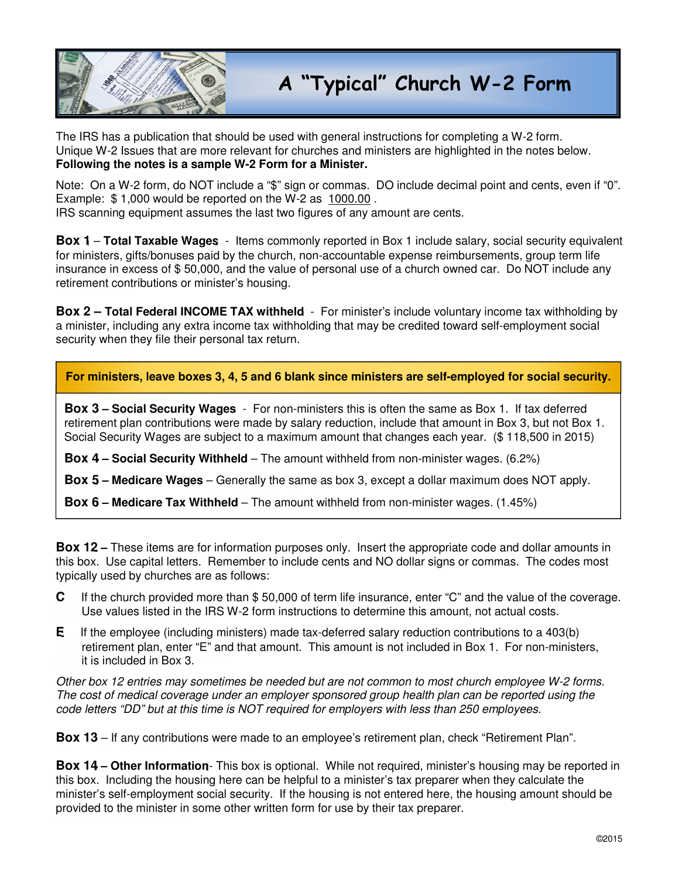

The IRS has a publication that should be used with general instructions for completing a W-2 form. Unique W-2 Issues that are more relevant for churches and ministers are highlighted in the notes below. **Following the notes is a sample W-2 Form for a Minister.** 

Note: On a W-2 form, do NOT include a "\$" sign or commas. DO include decimal point and cents, even if "0". Example: \$ 1,000 would be reported on the W-2 as 1000.00 .

IRS scanning equipment assumes the last two figures of any amount are cents.

**Box 1** – **Total Taxable Wages** - Items commonly reported in Box 1 include salary, social security equivalent for ministers, gifts/bonuses paid by the church, non-accountable expense reimbursements, group term life insurance in excess of \$ 50,000, and the value of personal use of a church owned car. Do NOT include any retirement contributions or minister's housing.

**Box 2 – Total Federal INCOME TAX withheld** - For minister's include voluntary income tax withholding by a minister, including any extra income tax withholding that may be credited toward self-employment social security when they file their personal tax return.

**For ministers, leave boxes 3, 4, 5 and 6 blank since ministers are self-employed for social security.**

**Box 3 – Social Security Wages** - For non-ministers this is often the same as Box 1. If tax deferred retirement plan contributions were made by salary reduction, include that amount in Box 3, but not Box 1. Social Security Wages are subject to a maximum amount that changes each year. (\$ 118,500 in 2015)

**Box 4 – Social Security Withheld** – The amount withheld from non-minister wages. (6.2%)

**Box 5 – Medicare Wages** – Generally the same as box 3, except a dollar maximum does NOT apply.

**Box 6 – Medicare Tax Withheld** – The amount withheld from non-minister wages. (1.45%)

**Box 12 –** These items are for information purposes only. Insert the appropriate code and dollar amounts in this box. Use capital letters. Remember to include cents and NO dollar signs or commas. The codes most typically used by churches are as follows:

- **C** If the church provided more than \$ 50,000 of term life insurance, enter "C" and the value of the coverage. Use values listed in the IRS W-2 form instructions to determine this amount, not actual costs.
- **E** If the employee (including ministers) made tax-deferred salary reduction contributions to a 403(b) retirement plan, enter "E" and that amount. This amount is not included in Box 1. For non-ministers, it is included in Box 3.

Other box 12 entries may sometimes be needed but are not common to most church employee W-2 forms. The cost of medical coverage under an employer sponsored group health plan can be reported using the code letters "DD" but at this time is NOT required for employers with less than 250 employees.

**Box 13** – If any contributions were made to an employee's retirement plan, check "Retirement Plan".

**Box 14 – Other Information**- This box is optional. While not required, minister's housing may be reported in this box. Including the housing here can be helpful to a minister's tax preparer when they calculate the minister's self-employment social security. If the housing is not entered here, the housing amount should be provided to the minister in some other written form for use by their tax preparer.